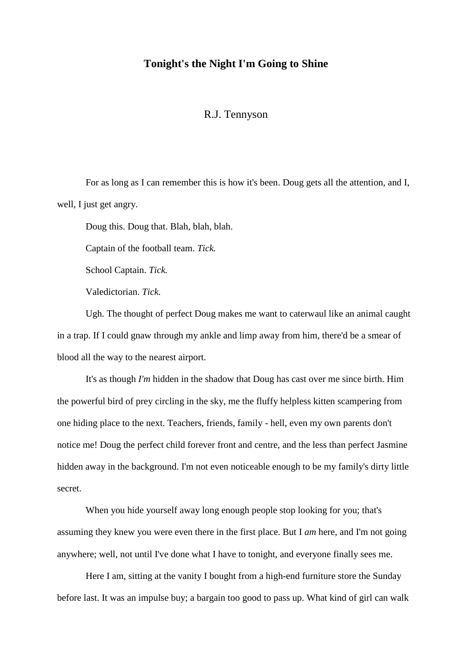## **Tonight's the Night I'm Going to Shine**

## R.J. Tennyson

For as long as I can remember this is how it's been. Doug gets all the attention, and I, well, I just get angry.

Doug this. Doug that. Blah, blah, blah.

Captain of the football team. *Tick.*

School Captain. *Tick.*

Valedictorian. *Tick.*

Ugh. The thought of perfect Doug makes me want to caterwaul like an animal caught in a trap. If I could gnaw through my ankle and limp away from him, there'd be a smear of blood all the way to the nearest airport.

It's as though *I'm* hidden in the shadow that Doug has cast over me since birth. Him the powerful bird of prey circling in the sky, me the fluffy helpless kitten scampering from one hiding place to the next. Teachers, friends, family - hell, even my own parents don't notice me! Doug the perfect child forever front and centre, and the less than perfect Jasmine hidden away in the background. I'm not even noticeable enough to be my family's dirty little secret.

When you hide yourself away long enough people stop looking for you; that's assuming they knew you were even there in the first place. But I *am* here, and I'm not going anywhere; well, not until I've done what I have to tonight, and everyone finally sees me.

Here I am, sitting at the vanity I bought from a high-end furniture store the Sunday before last. It was an impulse buy; a bargain too good to pass up. What kind of girl can walk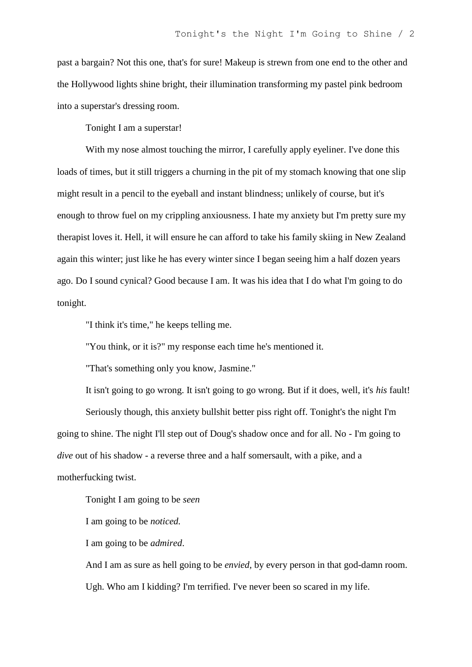past a bargain? Not this one, that's for sure! Makeup is strewn from one end to the other and the Hollywood lights shine bright, their illumination transforming my pastel pink bedroom into a superstar's dressing room.

Tonight I am a superstar!

With my nose almost touching the mirror, I carefully apply eyeliner. I've done this loads of times, but it still triggers a churning in the pit of my stomach knowing that one slip might result in a pencil to the eyeball and instant blindness; unlikely of course, but it's enough to throw fuel on my crippling anxiousness. I hate my anxiety but I'm pretty sure my therapist loves it. Hell, it will ensure he can afford to take his family skiing in New Zealand again this winter; just like he has every winter since I began seeing him a half dozen years ago. Do I sound cynical? Good because I am. It was his idea that I do what I'm going to do tonight.

"I think it's time," he keeps telling me.

"You think, or it is?" my response each time he's mentioned it.

"That's something only you know, Jasmine."

It isn't going to go wrong. It isn't going to go wrong. But if it does, well, it's *his* fault!

Seriously though, this anxiety bullshit better piss right off. Tonight's the night I'm going to shine. The night I'll step out of Doug's shadow once and for all. No - I'm going to *dive* out of his shadow - a reverse three and a half somersault, with a pike, and a motherfucking twist.

Tonight I am going to be *seen*

I am going to be *noticed.*

I am going to be *admired*.

And I am as sure as hell going to be *envied,* by every person in that god-damn room. Ugh. Who am I kidding? I'm terrified. I've never been so scared in my life.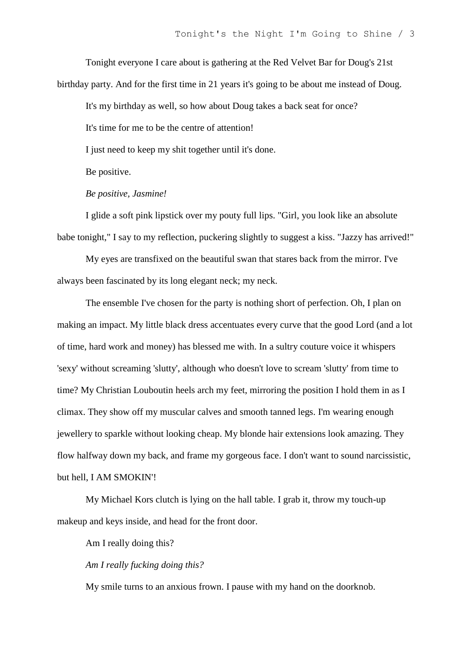Tonight everyone I care about is gathering at the Red Velvet Bar for Doug's 21st birthday party. And for the first time in 21 years it's going to be about me instead of Doug.

It's my birthday as well, so how about Doug takes a back seat for once?

It's time for me to be the centre of attention!

I just need to keep my shit together until it's done.

Be positive.

*Be positive, Jasmine!*

I glide a soft pink lipstick over my pouty full lips. "Girl, you look like an absolute babe tonight," I say to my reflection, puckering slightly to suggest a kiss. "Jazzy has arrived!"

My eyes are transfixed on the beautiful swan that stares back from the mirror. I've always been fascinated by its long elegant neck; my neck.

The ensemble I've chosen for the party is nothing short of perfection. Oh, I plan on making an impact. My little black dress accentuates every curve that the good Lord (and a lot of time, hard work and money) has blessed me with. In a sultry couture voice it whispers 'sexy' without screaming 'slutty', although who doesn't love to scream 'slutty' from time to time? My Christian Louboutin heels arch my feet, mirroring the position I hold them in as I climax. They show off my muscular calves and smooth tanned legs. I'm wearing enough jewellery to sparkle without looking cheap. My blonde hair extensions look amazing. They flow halfway down my back, and frame my gorgeous face. I don't want to sound narcissistic, but hell, I AM SMOKIN'!

My Michael Kors clutch is lying on the hall table. I grab it, throw my touch-up makeup and keys inside, and head for the front door.

Am I really doing this?

*Am I really fucking doing this?*

My smile turns to an anxious frown. I pause with my hand on the doorknob.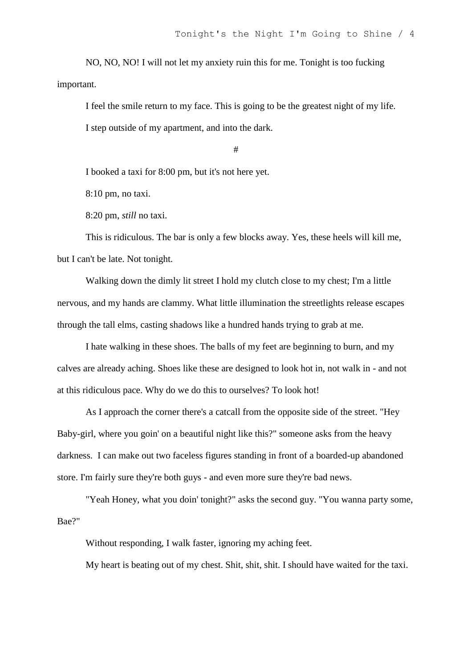NO, NO, NO! I will not let my anxiety ruin this for me. Tonight is too fucking important.

I feel the smile return to my face. This is going to be the greatest night of my life. I step outside of my apartment, and into the dark.

#

I booked a taxi for 8:00 pm, but it's not here yet.

8:10 pm, no taxi.

8:20 pm, *still* no taxi.

This is ridiculous. The bar is only a few blocks away. Yes, these heels will kill me, but I can't be late. Not tonight.

Walking down the dimly lit street I hold my clutch close to my chest; I'm a little nervous, and my hands are clammy. What little illumination the streetlights release escapes through the tall elms, casting shadows like a hundred hands trying to grab at me.

I hate walking in these shoes. The balls of my feet are beginning to burn, and my calves are already aching. Shoes like these are designed to look hot in, not walk in - and not at this ridiculous pace. Why do we do this to ourselves? To look hot!

As I approach the corner there's a catcall from the opposite side of the street. "Hey Baby-girl, where you goin' on a beautiful night like this?" someone asks from the heavy darkness. I can make out two faceless figures standing in front of a boarded-up abandoned store. I'm fairly sure they're both guys - and even more sure they're bad news.

"Yeah Honey, what you doin' tonight?" asks the second guy. "You wanna party some, Bae?"

Without responding, I walk faster, ignoring my aching feet.

My heart is beating out of my chest. Shit, shit, shit. I should have waited for the taxi.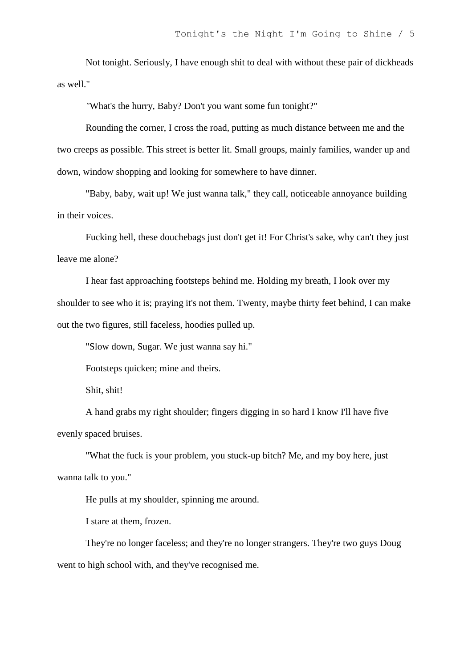Not tonight. Seriously, I have enough shit to deal with without these pair of dickheads as well."

*"*What's the hurry, Baby? Don't you want some fun tonight?"

Rounding the corner, I cross the road, putting as much distance between me and the two creeps as possible. This street is better lit. Small groups, mainly families, wander up and down, window shopping and looking for somewhere to have dinner.

"Baby, baby, wait up! We just wanna talk," they call, noticeable annoyance building in their voices.

Fucking hell, these douchebags just don't get it! For Christ's sake, why can't they just leave me alone?

I hear fast approaching footsteps behind me. Holding my breath, I look over my shoulder to see who it is; praying it's not them. Twenty, maybe thirty feet behind, I can make out the two figures, still faceless, hoodies pulled up.

"Slow down, Sugar. We just wanna say hi."

Footsteps quicken; mine and theirs.

Shit, shit!

A hand grabs my right shoulder; fingers digging in so hard I know I'll have five evenly spaced bruises.

"What the fuck is your problem, you stuck-up bitch? Me, and my boy here, just wanna talk to you."

He pulls at my shoulder, spinning me around.

I stare at them, frozen.

They're no longer faceless; and they're no longer strangers. They're two guys Doug went to high school with, and they've recognised me.